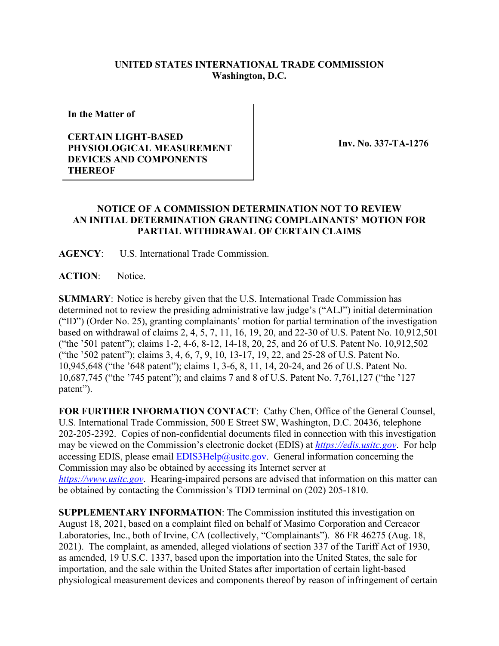## **UNITED STATES INTERNATIONAL TRADE COMMISSION Washington, D.C.**

**In the Matter of**

## **CERTAIN LIGHT-BASED PHYSIOLOGICAL MEASUREMENT DEVICES AND COMPONENTS THEREOF**

**Inv. No. 337-TA-1276**

## **NOTICE OF A COMMISSION DETERMINATION NOT TO REVIEW AN INITIAL DETERMINATION GRANTING COMPLAINANTS' MOTION FOR PARTIAL WITHDRAWAL OF CERTAIN CLAIMS**

**AGENCY**: U.S. International Trade Commission.

**ACTION**: Notice.

**SUMMARY**: Notice is hereby given that the U.S. International Trade Commission has determined not to review the presiding administrative law judge's ("ALJ") initial determination ("ID") (Order No. 25), granting complainants' motion for partial termination of the investigation based on withdrawal of claims 2, 4, 5, 7, 11, 16, 19, 20, and 22-30 of U.S. Patent No. 10,912,501 ("the '501 patent"); claims 1-2, 4-6, 8-12, 14-18, 20, 25, and 26 of U.S. Patent No. 10,912,502 ("the '502 patent"); claims 3, 4, 6, 7, 9, 10, 13-17, 19, 22, and 25-28 of U.S. Patent No. 10,945,648 ("the '648 patent"); claims 1, 3-6, 8, 11, 14, 20-24, and 26 of U.S. Patent No. 10,687,745 ("the '745 patent"); and claims 7 and 8 of U.S. Patent No. 7,761,127 ("the '127 patent").

**FOR FURTHER INFORMATION CONTACT**: Cathy Chen, Office of the General Counsel, U.S. International Trade Commission, 500 E Street SW, Washington, D.C. 20436, telephone 202-205-2392. Copies of non-confidential documents filed in connection with this investigation may be viewed on the Commission's electronic docket (EDIS) at *[https://edis.usitc.gov](https://edis.usitc.gov/)*. For help accessing EDIS, please email [EDIS3Help@usitc.gov.](mailto:EDIS3Help@usitc.gov) General information concerning the Commission may also be obtained by accessing its Internet server at *[https://www.usitc.gov](https://www.usitc.gov/)*. Hearing-impaired persons are advised that information on this matter can be obtained by contacting the Commission's TDD terminal on (202) 205-1810.

**SUPPLEMENTARY INFORMATION**: The Commission instituted this investigation on August 18, 2021, based on a complaint filed on behalf of Masimo Corporation and Cercacor Laboratories, Inc., both of Irvine, CA (collectively, "Complainants"). 86 FR 46275 (Aug. 18, 2021). The complaint, as amended, alleged violations of section 337 of the Tariff Act of 1930, as amended, 19 U.S.C. 1337, based upon the importation into the United States, the sale for importation, and the sale within the United States after importation of certain light-based physiological measurement devices and components thereof by reason of infringement of certain